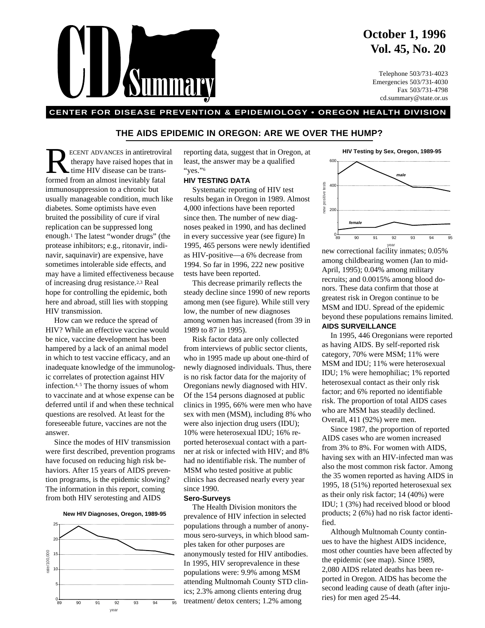## **October 1, 1996 Vol. 45, No. 20**

Telephone 503/731-4023 Emergencies 503/731-4030 Fax 503/731-4798 cd.summary@state.or.us

### **CENTER FOR DISEASE PREVENTION & EPIDEMIOLOGY • OREGON HEALTH DIVISION**

### **THE AIDS EPIDEMIC IN OREGON: ARE WE OVER THE HUMP?**

ECENT ADVANCES in antiretroviral<br>time HIV disease can be trans-<br>formed from an almost inevitably fatal therapy have raised hopes that in time HIV disease can be transformed from an almost inevitably fatal immunosuppression to a chronic but usually manageable condition, much like diabetes. Some optimists have even bruited the possibility of cure if viral replication can be suppressed long enough.1 The latest "wonder drugs" (the protease inhibitors; e.g., ritonavir, indinavir, saquinavir) are expensive, have sometimes intolerable side effects, and may have a limited effectiveness because of increasing drug resistance.2,3 Real hope for controlling the epidemic, both here and abroad, still lies with stopping HIV transmission.

How can we reduce the spread of HIV? While an effective vaccine would be nice, vaccine development has been hampered by a lack of an animal model in which to test vaccine efficacy, and an inadequate knowledge of the immunologic correlates of protection against HIV infection.<sup>4, 5</sup> The thorny issues of whom to vaccinate and at whose expense can be deferred until if and when these technical questions are resolved. At least for the foreseeable future, vaccines are not the answer.

Since the modes of HIV transmission were first described, prevention programs have focused on reducing high risk behaviors. After 15 years of AIDS prevention programs, is the epidemic slowing? The information in this report, coming from both HIV serotesting and AIDS

**New HIV Diagnoses, Oregon, 1989-95**



reporting data, suggest that in Oregon, at least, the answer may be a qualified "yes."<sup>6</sup>

### **HIV TESTING DATA**

Systematic reporting of HIV test results began in Oregon in 1989. Almost 4,000 infections have been reported since then. The number of new diagnoses peaked in 1990, and has declined in every successive year (see figure) In 1995, 465 persons were newly identified as HIV-positive—a 6% decrease from 1994. So far in 1996, 222 new positive tests have been reported.

This decrease primarily reflects the steady decline since 1990 of new reports among men (see figure). While still very low, the number of new diagnoses among women has increased (from 39 in 1989 to 87 in 1995).

Risk factor data are only collected from interviews of public sector clients, who in 1995 made up about one-third of newly diagnosed individuals. Thus, there is no risk factor data for the majority of Oregonians newly diagnosed with HIV. Of the 154 persons diagnosed at public clinics in 1995, 66% were men who have sex with men (MSM), including 8% who were also injection drug users (IDU); 10% were heterosexual IDU; 16% reported heterosexual contact with a partner at risk or infected with HIV; and 8% had no identifiable risk. The number of MSM who tested positive at public clinics has decreased nearly every year since 1990.

### **Sero-Surveys**

The Health Division monitors the prevalence of HIV infection in selected populations through a number of anonymous sero-surveys, in which blood samples taken for other purposes are anonymously tested for HIV antibodies. In 1995, HIV seroprevalence in these populations were: 9.9% among MSM attending Multnomah County STD clinics; 2.3% among clients entering drug  $\frac{1}{89}$  90 91 92 93 94 95 treatment/ detox centers; 1.2% among ries) for men aged 25-44.



new correctional facility inmates; 0.05% among childbearing women (Jan to mid-April, 1995); 0.04% among military recruits; and 0.0015% among blood donors. These data confirm that those at greatest risk in Oregon continue to be MSM and IDU. Spread of the epidemic beyond these populations remains limited. **AIDS SURVEILLANCE**

In 1995, 446 Oregonians were reported as having AIDS. By self-reported risk category, 70% were MSM; 11% were MSM and IDU; 11% were heterosexual IDU; 1% were hemophiliac; 1% reported heterosexual contact as their only risk factor; and 6% reported no identifiable risk. The proportion of total AIDS cases who are MSM has steadily declined. Overall, 411 (92%) were men.

Since 1987, the proportion of reported AIDS cases who are women increased from 3% to 8%. For women with AIDS, having sex with an HIV-infected man was also the most common risk factor. Among the 35 women reported as having AIDS in 1995, 18 (51%) reported heterosexual sex as their only risk factor; 14 (40%) were IDU; 1 (3%) had received blood or blood products; 2 (6%) had no risk factor identified.

Although Multnomah County continues to have the highest AIDS incidence, most other counties have been affected by the epidemic (see map). Since 1989, 2,080 AIDS related deaths has been reported in Oregon. AIDS has become the second leading cause of death (after inju-